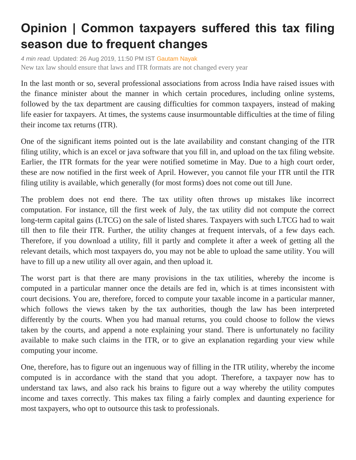## **Opinion | Common taxpayers suffered this tax filing season due to frequent changes**

*4 min read.* Updated: 26 Aug 2019, 11:50 PM IST [Gautam Nayak](https://www.livemint.com/Search/Link/Author/Gautam%20Nayak) New tax law should ensure that laws and ITR formats are not changed every year

In the last month or so, several professional associations from across India have raised issues with the finance minister about the manner in which certain procedures, including online systems, followed by the tax department are causing difficulties for common taxpayers, instead of making life easier for taxpayers. At times, the systems cause insurmountable difficulties at the time of filing their income tax returns (ITR).

One of the significant items pointed out is the late availability and constant changing of the ITR filing utility, which is an excel or java software that you fill in, and upload on the tax filing website. Earlier, the ITR formats for the year were notified sometime in May. Due to a high court order, these are now notified in the first week of April. However, you cannot file your ITR until the ITR filing utility is available, which generally (for most forms) does not come out till June.

The problem does not end there. The tax utility often throws up mistakes like incorrect computation. For instance, till the first week of July, the tax utility did not compute the correct long-term capital gains (LTCG) on the sale of listed shares. Taxpayers with such LTCG had to wait till then to file their ITR. Further, the utility changes at frequent intervals, of a few days each. Therefore, if you download a utility, fill it partly and complete it after a week of getting all the relevant details, which most taxpayers do, you may not be able to upload the same utility. You will have to fill up a new utility all over again, and then upload it.

The worst part is that there are many provisions in the tax utilities, whereby the income is computed in a particular manner once the details are fed in, which is at times inconsistent with court decisions. You are, therefore, forced to compute your taxable income in a particular manner, which follows the views taken by the tax authorities, though the law has been interpreted differently by the courts. When you had manual returns, you could choose to follow the views taken by the courts, and append a note explaining your stand. There is unfortunately no facility available to make such claims in the ITR, or to give an explanation regarding your view while computing your income.

One, therefore, has to figure out an ingenuous way of filling in the ITR utility, whereby the income computed is in accordance with the stand that you adopt. Therefore, a taxpayer now has to understand tax laws, and also rack his brains to figure out a way whereby the utility computes income and taxes correctly. This makes tax filing a fairly complex and daunting experience for most taxpayers, who opt to outsource this task to professionals.